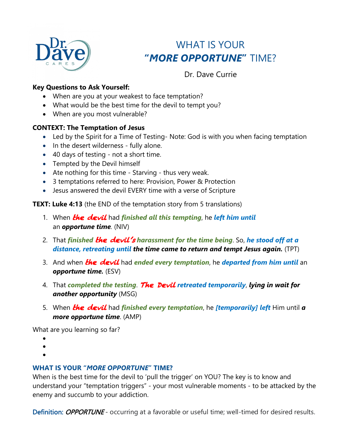

# WHAT IS YOUR **"***MORE OPPORTUNE***"** TIME?

Dr. Dave Currie

#### **Key Questions to Ask Yourself:**

- When are you at your weakest to face temptation?
- What would be the best time for the devil to tempt you?
- When are you most vulnerable?

#### **CONTEXT: The Temptation of Jesus**

- Led by the Spirit for a Time of Testing-Note: God is with you when facing temptation
- In the desert wilderness fully alone.
- 40 days of testing not a short time.
- Tempted by the Devil himself
- Ate nothing for this time Starving thus very weak.
- 3 temptations referred to here: Provision, Power & Protection
- Jesus answered the devil EVERY time with a verse of Scripture

**TEXT: Luke 4:13** (the END of the temptation story from 5 translations)

- 1. When the devil had *finished all this tempting*, he *left him until* an *opportune time.* (NIV)
- 2. That *finished* the devil's *harassment for the time being*. So, *he stood off at a distance, retreating until the time came to return and tempt Jesus again.* (TPT)
- 3. And when **the devil** had ended every temptation, he **departed from him** *until* an *opportune time.* (ESV)
- 4. That *completed the testing*. The Devil *retreated temporarily*, *lying in wait for another opportunity* (MSG)
- 5. When the devil had *finished every temptation*, he *[temporarily] left* Him until *a more opportune time*. (AMP)

What are you learning so far?

- •
- •
- •

#### **WHAT IS YOUR "***MORE OPPORTUNE***" TIME?**

When is the best time for the devil to 'pull the trigger' on YOU? The key is to know and understand your "temptation triggers" - your most vulnerable moments - to be attacked by the enemy and succumb to your addiction.

Definition: *OPPORTUNE* - occurring at a favorable or useful time; well-timed for desired results.